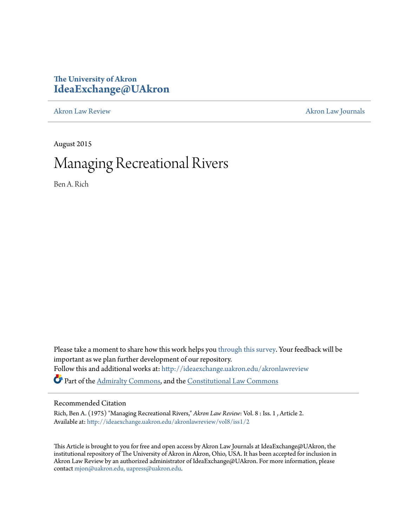# **The University of Akron [IdeaExchange@UAkron](http://ideaexchange.uakron.edu?utm_source=ideaexchange.uakron.edu%2Fakronlawreview%2Fvol8%2Fiss1%2F2&utm_medium=PDF&utm_campaign=PDFCoverPages)**

[Akron Law Review](http://ideaexchange.uakron.edu/akronlawreview?utm_source=ideaexchange.uakron.edu%2Fakronlawreview%2Fvol8%2Fiss1%2F2&utm_medium=PDF&utm_campaign=PDFCoverPages) [Akron Law Journals](http://ideaexchange.uakron.edu/akronlawjournals?utm_source=ideaexchange.uakron.edu%2Fakronlawreview%2Fvol8%2Fiss1%2F2&utm_medium=PDF&utm_campaign=PDFCoverPages)

August 2015

# Managing Recreational Rivers

Ben A. Rich

Please take a moment to share how this work helps you [through this survey.](http://survey.az1.qualtrics.com/SE/?SID=SV_eEVH54oiCbOw05f&URL=http://ideaexchange.uakron.edu/akronlawreview/vol8/iss1/2) Your feedback will be important as we plan further development of our repository. Follow this and additional works at: [http://ideaexchange.uakron.edu/akronlawreview](http://ideaexchange.uakron.edu/akronlawreview?utm_source=ideaexchange.uakron.edu%2Fakronlawreview%2Fvol8%2Fiss1%2F2&utm_medium=PDF&utm_campaign=PDFCoverPages) Part of the [Admiralty Commons](http://network.bepress.com/hgg/discipline/580?utm_source=ideaexchange.uakron.edu%2Fakronlawreview%2Fvol8%2Fiss1%2F2&utm_medium=PDF&utm_campaign=PDFCoverPages), and the [Constitutional Law Commons](http://network.bepress.com/hgg/discipline/589?utm_source=ideaexchange.uakron.edu%2Fakronlawreview%2Fvol8%2Fiss1%2F2&utm_medium=PDF&utm_campaign=PDFCoverPages)

# Recommended Citation

Rich, Ben A. (1975) "Managing Recreational Rivers," *Akron Law Review*: Vol. 8 : Iss. 1 , Article 2. Available at: [http://ideaexchange.uakron.edu/akronlawreview/vol8/iss1/2](http://ideaexchange.uakron.edu/akronlawreview/vol8/iss1/2?utm_source=ideaexchange.uakron.edu%2Fakronlawreview%2Fvol8%2Fiss1%2F2&utm_medium=PDF&utm_campaign=PDFCoverPages)

This Article is brought to you for free and open access by Akron Law Journals at IdeaExchange@UAkron, the institutional repository of The University of Akron in Akron, Ohio, USA. It has been accepted for inclusion in Akron Law Review by an authorized administrator of IdeaExchange@UAkron. For more information, please contact [mjon@uakron.edu, uapress@uakron.edu.](mailto:mjon@uakron.edu,%20uapress@uakron.edu)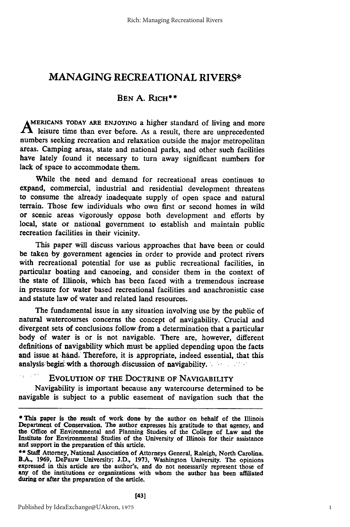# **MANAGING** RECREATIONAL RIVERS\*

## **BEN A. RICH\*\***

**AMERICANS TODAY ARE ENJOYING** a higher standard of living and more  $\mathbf A$  leisure time than ever before. As a result, there are unprecedented numbers seeking recreation and relaxation outside the major metropolitan areas. Camping areas, state and national parks, and other such facilities have lately found it necessary to turn away significant numbers for lack **of** space to accommodate them.

While the need and demand for recreational areas continues to expand, commercial, industrial and residential development threatens to consume the already inadequate supply of open space and natural terrain. Those few individuals who own first or second homes in wild or scenic areas vigorously oppose both development and efforts **by** local, state or national government to establish and maintain public recreation facilities in their vicinity.

This paper will discuss various approaches that have been or could be taken **by** government agencies in order to provide and protect rivers with recreational potential for use as public recreational facilities, in particular boating and canoeing, and consider them in the context of the state of Illinois, which has been faced with a tremendous increase in pressure for water based recreational facilities and anachronistic case and statute law of water and related land resources.

The fundamental issue in any situation involving use **by** the public of natural watercourses concerns the concept of navigability. Crucial and divergent sets of conclusions follow from a determination that a particular body of water is or is not navigable. There are, however, different definitions of navigability which must be applied depending upon the facts and issue at hand. Therefore, it is appropriate, indeed essential, that this analysis begin with a thorough discussion of navigability.

## EVOLUTION OF THE DOCTRINE OF NAVIGABILITY

Navigability is important because any watercourse determined to be navigable is subject to a public easement of navigation such that the

 $\epsilon_{\rm eff} = 1$ 

**<sup>\*</sup>** This paper is the result of work done **by** the author on behalf of the Illinois Department of Conservation. The author expresses his gratitude to that agency, and the Office of Environmental and Planning Studies of the College of Law and the Institute for Environmental Studies of the University of Illinois for their assistance and support in the preparation of this article.

**<sup>\*\*</sup>** Staff Attorney, National Association of Attorneys General, Raleigh, North Carolina. B.A., 1969, DePauw University; J.D., 1973, Washington University. The opinions expressed in this article are the author's, and do not necessarily represent those of any of the institutions or organizations with whom the author has been affiliated during or after the preparation of the article.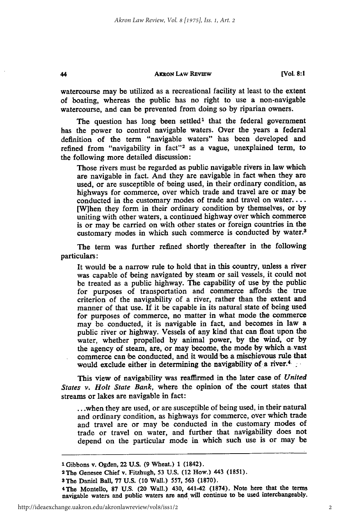44

**watercourse may** be utilized as a recreational facility at least to the extent of boating, whereas the public has no right to use a non-navigable watercourse, and can be prevented from doing so **by** riparian owners.

The question has long been settled<sup>1</sup> that the federal government has the power to control navigable waters. Over the years a federal definition of the term "navigable waters" has been developed and refined from "navigability in fact"<sup>2</sup> as a vague, unexplained term, to the following more detailed discussion:

Those rivers must be regarded as public navigable rivers in law which are navigable in fact. And they are navigable in fact when they are used, or are susceptible of being used, in their ordinary condition, as highways for commerce, over which trade and travel are or may be conducted in the customary modes of trade and travel on **water....** [W]hen they form in their ordinary condition **by** themselves, or **by** uniting with other waters, a continued highway over which commerce is or may be carried on with other states or foreign countries in the customary modes in which such commerce is conducted **by** water.3

The term was further refined shortly thereafter in the following particulars:

It would be a narrow rule to hold that in this country, unless a river was capable of being navigated **by** steam or sail vessels, it could not be treated as a public highway. The capability of use **by** the public for purposes of transportation and commerce affords the true criterion of the navigability of a river, rather than the extent and manner of that use. **If** it be capable in its natural state of being used for purposes of commerce, no matter in what mode the commerce may be conducted, it is navigable in fact, and becomes in law a public river or highway. Vessels of any kind that can float upon the water, whether propelled **by** animal power, **by** the wind, or **by** the agency of steam, are, or may become, the mode by which a vast commerce can 'be conducted, and it would be a mischievous rule that would exclude either in determining the navigability of a river.<sup>4</sup>

This view of navigability was reaffirmed in the later case of *United States v. Holt State Bank,* where the opinion of the court states that streams or lakes are navigable in fact:

**... when** they are used, or are susceptible of being used, in their natural and ordinary condition, as highways for commerce, over which trade and travel are or may be conducted in the customary modes of trade or travel on water, and further that navigability does not depend on the particular mode in which such use is or may be

**<sup>1</sup>**Gibbons v. Ogden, 22 **U.S. (9** Wheat.) **1** (1842). <sup>2</sup> The Genesee Chief v. Fitzhugh, **53 U.S.** (12 How.) 443 **(1851).**

<sup>3</sup>The Daniel Ball, **77 U.S. (10** Wall.) **557, 563 (1870).**

**<sup>4</sup>The** Montello, **87 U.S.** (20 Wall.) 430, 441-42 **(1874).** Note here that the terms navigable waters and public waters are and will continue to be used interchangeably.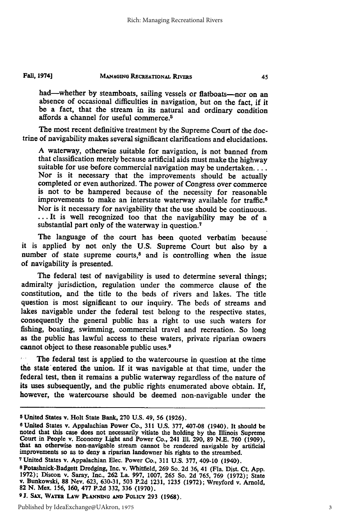had-whether by steamboats, sailing vessels or flatboats-nor on an absence of occasional difficulties in navigation, but on the fact, **if** it be a fact, that the stream in its natural and ordinary condition affords a channel for useful commerce.5

**The** most recent definitive treatment **by** the Supreme Court of the doctrine of navigability makes several significant clarifications and elucidations.

**A** waterway, otherwise suitable for navigation, is not banned from that classification merely because artificial aids must make the highway suitable for use before commercial navigation may be undertaken.... Nor is it necessary that the improvements should be actually completed or even authorized. The power of Congress over commerce is not to be hampered because of the necessity for reasonable improvements to make an interstate waterway available for traffic.8 Nor is it necessary for navigability that the use should be continuous. **...** It is well recognized too that the navigability may be of a substantial part only of the waterway in question.<sup>7</sup>

The language of the court has been quoted verbatim because it is applied **by** not only the **U.S.** Supreme Court but also **by** a number of state supreme courts, $8$  and is controlling when the issue of navigability is presented.

The federal test of navigability is used to determine several things; admiralty jurisdiction, regulation under the commerce clause of the constitution, and the title to the beds of rivers and lakes. The title question is most significant to our inquiry. **The** beds of streams and lakes navigable under the federal test belong to the respective states, consequently the general public has a right to use such waters for fishing, boating, swimming, commercial travel and recreation. So long as the public has lawful access to these waters, private riparian owners cannot object to these reasonable public uses.9

The federal test is applied to the watercourse in question at the time the state entered the union. If it was navigable at that time, under the federal test, then it remains a public waterway regardless of the nature of its uses subsequently, and the public rights enumerated above obtain. If, however, the watercourse should be deemed non-navigable under the

**<sup>5</sup>** United States v. Holt State Bank, **270 U.S.** 49, **56 (1926).**

**<sup>8</sup>**United States v. Appalachian Power Co., **311 U.S. 377, 407-08** (1940). It should be noted that this case does not necessarily vitiate the holding by the Illinois Supreme<br>Court in People v. Economy Light and Power Co., 241 Ill. 290, 89 N.E. 760 (1909),<br>that an otherwise non-navigable stream cannot be rende improvements so as to deny a riparian landowner his rights to the streambed.

**<sup>7</sup>**United States v. Appalachian Elec. Power Co., **311 U.S. 377,** 409-10 (1940).

<sup>8</sup> Potashnick-Badgett Dredging, Inc. v. Whitfield, 269 So. 2d 36, 41 (Fla. Dist. Ct. App. 1972); Discon v. Saray, Inc., 262 La. 997, 1007, 265 So. 2d 765, 769 (1972); State v. Bunkowski, 88 Nev. 623, 630-31, 503 P.2d 1231, **82 N.** Mex. **156, 160, 477 P.2d 332,** 336 **(1970).**

**<sup>9</sup>J.** SAx, WATER LAw **PLANNINO AND** POLICY **293 (1968).**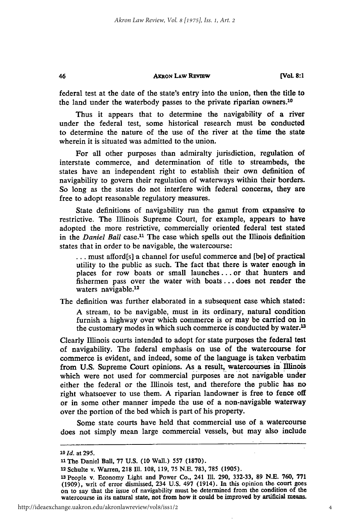**[Vol. 8:1**

federal test at the date of the state's entry into the union, then the title to the land under the waterbody passes to the private riparian owners.<sup>10</sup>

Thus it appears that to determine the navigability of a river under the federal test, some historical research must be conducted to determine the nature of the use of the river at the time the state wherein it is situated was admitted to the union.

For all other purposes than admiralty jurisdiction, regulation of interstate commerce, and determination of title to streambeds, the states have an independent right to establish their own definition of navigability to govern their regulation of waterways within their borders. So long as the states do not interfere with federal concerns, they are free to adopt reasonable regulatory measures.

State definitions of navigability run the gamut from expansive to restrictive. The Illinois Supreme Court, for example, appears to have adopted the more restrictive, commercially oriented federal test stated in the *Daniel Ball* case.<sup>11</sup> The case which spells out the Illinois definition states that in order to be navigable, the watercourse:

**...** must afford[s] a channel for useful commerce and [be] of practical utility to the public as such. The fact that there is water enough in places for row boats or small launches.., or that hunters and fishermen pass over the water with boats... does not render the waters navigable.<sup>12</sup>

The definition was further elaborated in a subsequent case which stated:

A stream, to 'be navigable, must in its ordinary, natural condition furnish a highway over which commerce is or may be carried on in the customary modes in which such commerce is conducted by water.<sup>13</sup>

Clearly Illinois courts intended to adopt for state purposes the federal test of navigability. The federal emphasis on use of the watercourse for commerce is evident, and indeed, some of the language is taken verbatim from U.S. Supreme Court opinions. As a result, watercourses in Illinois which were not used for commercial purposes are not navigable under either the federal or the Illinois test, and therefore the public has no right whatsoever to use them. A riparian landowner is free to fence off or in some other manner impede the use of a non-navigable waterway over the portion of the bed which is part of his property.

Some state courts have held that commercial use of a watercourse does not simply mean large commercial vessels, but may also include

46

*loId.* at 295.

**<sup>11</sup>The** Daniel Ball, 77 U.S. (10 Wall.) 557 (1870).

**<sup>12</sup>**Schulte v. Warren, 218 M1. 108, 119, **75** N.E. 783, **785** (1905).

**<sup>13</sup>**People v. Economy Light and Power Co., 241 IMl. 290, 332-33, **89 N.E.** 760, **771** (1909), writ of error dismissed, 234 U.S. 497 (1914). In this opinion the court goes on to say that the issue of navigability must be determined from the condition of the watercourse in its natural state, not from how it could be improved **by** artificial means.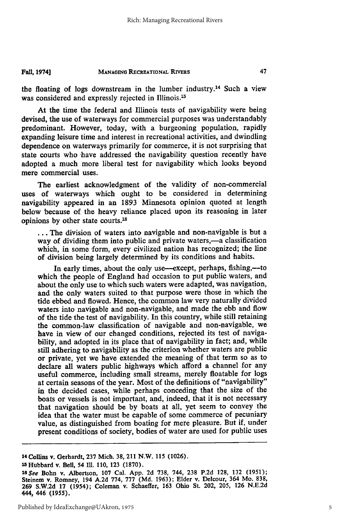the floating of logs downstream in the lumber industry.<sup>14</sup> Such a view was considered and expressly rejected in Illinois.<sup>15</sup>

At the time the federal and Illinois tests of navigability were being devised, the use of waterways for commercial purposes was understandably predominant. However, today, with a burgeoning population, rapidly expanding leisure time and interest in recreational activities, and dwindling dependence on waterways primarily for commerce, it is not surprising that state courts who have addressed the navigability question recently have adopted a much more liberal test for navigability which looks beyond mere commercial uses.

The earliest acknowledgment of the validity of non-commercial uses of waterways which ought to be considered in determining navigability appeared in an 1893 Minnesota opinion quoted at length below because of the heavy reliance placed upon its reasoning in later opinions by other state courts.<sup>16</sup>

**•..** The division of waters into navigable and non-navigable is but a way of dividing them into public and private waters,—a classification which, in some form, every civilized nation has recognized; the line of division being largely determined by its conditions and habits.

In early times, about the only use—except, perhaps, fishing,—to which the people of England had occasion to put public waters, and about the only use to which such waters were adapted, was navigation, and the only waters suited to that purpose were those in which the tide ebbed and flowed. Hence, the common law very naturally divided waters into navigable and non-navigable, and made the ebb and flow of the tide the test of navigability. In this country, while still retaining the common-law classification of navigable and non-navigable, we have in view of our changed conditions, rejected its test of navigability, and adopted in its place that of navigability in fact; and, while still adhering to navigability as the criterion whether waters are public or private, yet we have extended the meaning of that term so as to declare all waters public highways which afford a channel for any useful commerce, including small streams, merely floatable for logs at certain seasons of the year. Most of the definitions of "navigability" in the decided cases, while perhaps conceding that the size of the boats or vessels is not important, and, indeed, that it is not necessary that navigation should be by boats at all, yet seem to convey the idea that the water must be capable of some commerce of pecuniary value, as distinguished from boating for mere pleasure. But if, under present conditions of society, bodies of water are used for public uses

**<sup>15</sup>**Hubbard v. Bell, 54 **1l. 110, 123 (1870).**

**<sup>14</sup> Collins v. Gerhardt, 237 Mich. 38, 211 N.W. 115 (1026).**

*<sup>1</sup>SSee* **Bohn v.** Albertson, **107** Cal. **App. 2d 738,** 744, **238 P.2d 128, 132 (1951);** Steinem **v.** Romney, 194 **A.2d 774, 777 (Md. 1963);** Elder **v.** Delcour, 364 Mo. **838, 269 S.W.2d 17** (1954); Coleman **v.** Schaeffer, **163** Ohio St. 202, **205, 126 N.E.2d 444, 446 (1955).**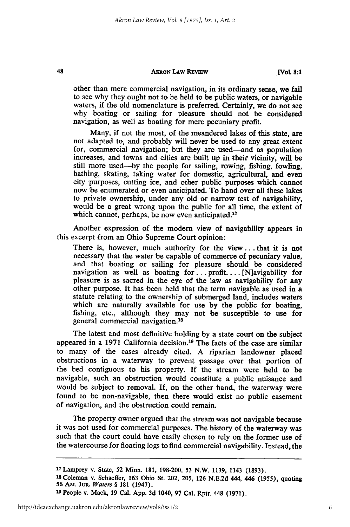48

**.[Vol 8:1**

other than mere commercial navigation, in its ordinary sense, we fail to see why they ought not to be held to 'be public waters, or navigable waters, if the old nomenclature is preferred. Certainly, we do not see why boating or sailing for pleasure should not be considered navigation, as well as boating for mere pecuniary profit.

Many, if not the most, of the meandered lakes of this state, are not adapted to, and probably will never be used to any great extent for, commercial navigation; but they are used-and as population increases, and towns and cities are built up in their vicinity, **will** be still more used-by the people for sailing, rowing, fishing, fowling, bathing, skating, taking water for domestic, agricultural, and even city purposes, cutting ice, and other public purposes which cannot now be enumerated or even anticipated. To hand over **all** these lakes to private ownership, under any old or narrow test of navigability, would be a great wrong upon the public for all time, the extent of which cannot, perhaps, be now even anticipated.<sup>17</sup>

Another expression of the modern view of navigability appears in this excerpt from an Ohio Supreme Court opinion:

There is, however, much authority for the **view...** that it is not necessary that the water be capable of commerce of pecuniary value, and that 'boating or sailing for pleasure should be considered navigation as well as boating **for..,** profit.... [N]avigability for pleasure is as sacred in the eye of the law as navigability for any other purpose. It has been held that the term navigable as used in a statute relating to the ownership of submerged land, includes waters which are naturally available for use by the public for boating, fishing, etc., although they may not be susceptible to use for general commercial navigation.<sup>18</sup>

The latest and most definitive holding **by** a state court on the subject appeared in a **1971** California decision.19 The facts of the case are similar to many of the cases already cited. **A** riparian landowner placed obstructions in a waterway to prevent passage over that portion of the bed contiguous to his property. **If** the stream were held to be navigable, such an obstruction would constitute a public nuisance and would be subject to removal. **If,** on the other hand, the waterway were found to be non-navigable, then there would exist no public easement of navigation, and the obstruction could remain.

The property owner argued that the stream was not navigable because it was not used for commercial purposes. The history of the waterway was such that the court could have easily chosen to rely on the former use of the watercourse for floating logs to find commercial navigability. Instead, the

**<sup>1</sup> <sup>7</sup> Lamprey v. State, 52 Minn. 181, 198-200, 53 N.W. 1139, 1143 (1893).**

**<sup>18</sup> Coleman v. Schaeffer, 163 Ohio St. 202, 205, 126 N.E.2d 444, 446 (1955), quoting 56 AM.** *JuR. Waters §* **181 (1947).**

**<sup>19</sup> People v. Mack, 19 Cal. App. 3d 1040, 97** Cal, **Rptr. 448 (1971).**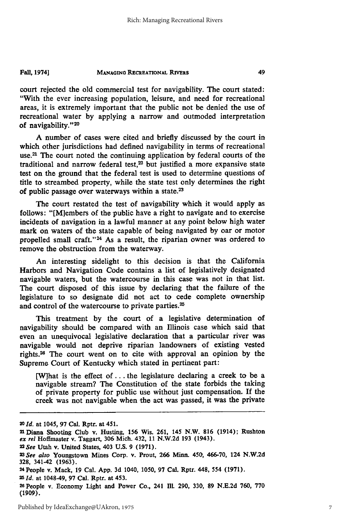court rejected the old commercial test for navigability. The court stated: "With the ever increasing population, leisure, and need for recreational areas, it is extremely important that the public not be denied the use of recreational water **by** applying a narrow and outmoded interpretation of navigability."<sup>20</sup>

A number of cases were cited and briefly discussed **by** the court in which other jurisdictions had defined navigability in terms of recreational use. 21 The court noted the continuing application **by** federal courts of the traditional and narrow federal test, $22$  but justified a more expansive state test on the ground that the federal test is used to determine questions of title to streambed property, while the state test only determines the right of public passage over waterways within a state.<sup>23</sup>

The court restated the test of navigability which it would apply as follows: "[M]embers of the public have a right to navigate and to exercise incidents of navigation in a lawful manner at any point below high water mark on waters of the state capable of being navigated **by** oar or motor propelled small craft."<sup>24</sup> As a result, the riparian owner was ordered to remove the obstruction from the waterway.

An interesting sidelight to this decision is that the California Harbors and Navigation Code contains a list of legislatively designated navigable waters, but the watercourse in this case was not in that list. The court disposed of this issue **by** declaring that the failure of the legislature to so designate did not act to cede complete ownership and control of the watercourse to private parties.<sup>25</sup>

This treatment **by** the court of a legislative determination of navigability should be compared with an Illinois case which said that even an unequivocal legislative declaration that a particular river was navigable would not deprive riparian landowners of existing vested rights. 24 The court went on to cite with approval an opinion **by** the Supreme Court of Kentucky which stated in pertinent part:

[Wihat is the effect **of...** the legislature declaring a creek to be a navigable stream? The Constitution of the state forbids the taking of private property for public use without just compensation. If the creek was not navigable when the act was passed, it was the private

**<sup>20</sup>***Id.* at 1045, **97** Cal. Rptr. at 451.

<sup>21</sup> Diana Shooting Club v. Husting, 156 Wis. **261,** 145 N.W. **816** (1914); Rushton *ex rel* Hofimaster v. Taggart, **306** Mich. 432, 11 **N.W.2d 193** (1943). *2 2See* Utah v. United States, 403 **U.S.** 9 (1971).

*<sup>23</sup>See also* Youngstown Mines Corp. **v.** Prout, **266** Minn. 450, **466-70,** 124 N.W.2d **328,** 341-42 **(1963).**

**<sup>24</sup>**People v. Mack, 19 Cal. **App. 3d** 1040, **1050, 97** Cal. Rptr. 448, 554 (1971).

**<sup>25</sup>***Id.* at 1048-49, **97** Cal. Rptr. at 453.

**<sup>26</sup>People** v. Economy Light and Power Co., 241 **Ill.** 290, **330, 89 N.E.2d 760, 770 (1909).**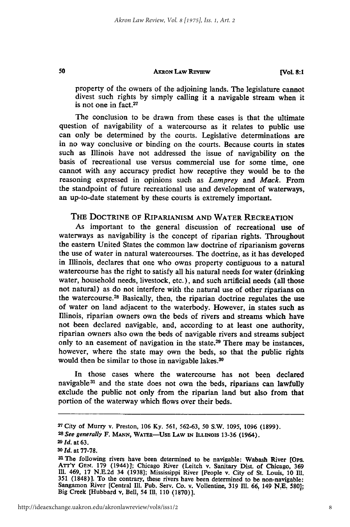#### AKRON LAw REvIEW

**[Vol. 8:1**

property of the owners of the adjoining lands. The legislature cannot divest such rights by simply calling it a navigable stream when it is not one in fact.27

The conclusion to be drawn from these cases is that the ultimate question of navigability of a watercourse as it relates to public use can only be determined by the courts. Legislative determinations are in no way conclusive or binding on the courts. Because courts in states such as Illinois have not addressed the issue of navigability on the basis of recreational use versus commercial use for some time, one cannot with any accuracy predict how receptive they would be to the reasoning expressed in opinions such as *Lamprey* and *Mack.* From the standpoint of future recreational use and development of waterways, an up-to-date statement by these courts is extremely important.

## THE DOCTRINE OF RIPARIANISM AND WATER RECREATION

As important to the general discussion **of** recreational use of waterways as navigability is the concept of riparian rights. Throughout the eastern United States the common law doctrine of riparianism governs the use of water in natural watercourses. The doctrine, as it has developed in Illinois, declares that one who owns property contiguous to a natural watercourse has the right to satisfy all his natural needs for water (drinking water, household needs, livestock, etc.), and such artificial needs (all those not natural) as do not interfere with the natural use of other riparians on the watercourse.<sup>28</sup> Basically, then, the riparian doctrine regulates the use of water on land adjacent to the waterbody. However, in states such as Illinois, riparian owners own the beds of rivers and streams which have not been declared navigable, and, according to at least one authority, riparian owners also own the beds of navigable rivers and streams subject only to an easement of navigation in the state.<sup>29</sup> There may be instances, however, where the state may own the beds, so that the public rights would then be similar to those in navigable lakes.<sup>30</sup>

In those cases where the watercourse has not been declared navigable<sup>31</sup> and the state does not own the beds, riparians can lawfully exclude the public not only from the riparian land but also from that portion of the waterway which flows over their beds.

50

**<sup>27</sup>**City of Murry v. Preston, 106 Ky. **561,** 562-63, 50 S.W. 1095, 1096 (1899). *<sup>2</sup> 8 See generally* F. **MANN, WATER-UsE LAW IN ILLINOIS 13-36** (1964).

*<sup>29</sup>Id.* at **63.**

**<sup>30</sup>***Id.* **at 77-78.**

**<sup>31</sup>**The following rivers have been determined to be navigable: Wabash River [Ops. Arr'Y **GEN. 179** (1944)]; Chicago River (Leitch v. Sanitary Dist. of Chicago, **369 IM.** 469, **17 N.E.2d** 34 **(1938];** Mississippi River [People v. City **of** St. Louis, **10 Ill. 351 (1848)].** To the contrary, these rivers have been determined to be non-navigable: Sangamon River [Central Ill. Pub. Serv. Co. v. Volentine, **319 Il. 66,** 149 **N.E. 5801;** Big Creek [Hubbard v, Bell, 54 *II,* **110 (1870)].**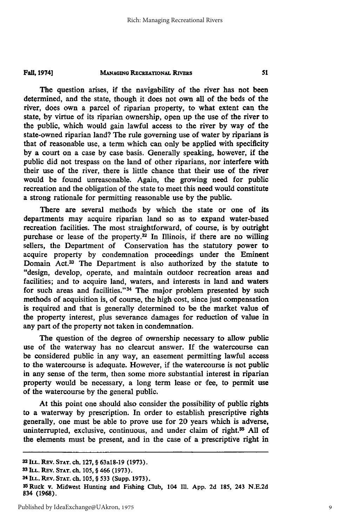The question arises, if the navigability of the river has not been determined, and the state, though it does not own all of the beds of the river, does own a parcel of riparian property, to what extent can the state, **by** virtue of its riparian ownership, open up the use of the river to the public, which would gain lawful access to the river **by** way of the state-owned riparian land? The rule governing use of water **by** riparians is that of reasonable use, a term which can only be applied with specificity **by** a court on a case **by** case basis. Generally speaking, however, if the public did not trespass on the land of other riparians, nor interfere with their use of the river, there is little chance that their use **of** the river would be found unreasonable. Again, the growing need for public recreation and the obligation of the state to meet this need would constitute a strong rationale for permitting reasonable use **by** the public.

There are several methods **by** which the state or one of its departments may acquire riparian land so as to expand water-based recreation facilities. The most straightforward, of course, is **by** outright purchase or lease of the property.<sup>32</sup> In Illinois, if there are no willing sellers, the Department of Conservation has the statutory power to acquire property **by** condemnation proceedings under the Eminent Domain Act.33 The Department is also authorized **by** the statute to "design, develop, operate, and maintain outdoor recreation areas and facilities; and to acquire land, waters, and interests in land and waters for such areas and facilities."<sup>34</sup> The major problem presented by such methods of acquisition is, of course, the high cost, since just compensation is required and that is generally determined to be the market value of the property interest, plus severance damages for reduction of value in any part **of** the property not taken in condemnation.

The question of the degree of ownership necessary to allow public use of the waterway has no clearcut answer. **If** the watercourse can be considered public in any way, an easement permitting lawful access to the watercourse is adequate. However, if the watercourse is not public in any sense of the term, then some more substantial interest in riparian property would be necessary, a long term lease or fee, to permit use of the watercourse **by** the general public.

At this point one should also consider the possibility of public rights to a waterway **by** prescription. In order to establish prescriptive rights generally, one must be able to prove use for 20 years which is adverse, uninterrupted, exclusive, continuous, and under claim of right.<sup>35</sup> All of the elements must be present, and in the case of a prescriptive right in

**<sup>32</sup>ILL.** REv. **STAT.** ch. **127,** § 63a18-19 **(1973). <sup>33</sup>ILL.** REv. **STAT. ch. 105,** § 466 **(1973).**

<sup>34</sup> **ILL. REV. STAT. ch. 105,** § **533** (Supp. **1973).**

<sup>35</sup>Ruck v. Midwest Hunting and Fishing Club, 104 **Ill. App. 2d 185,** 243 **N.E.2d** 834 **(1968).**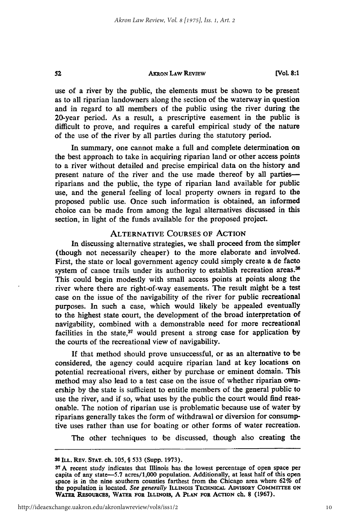### **AxRON LAW REvEw**

 $52$ 

**[Vol. 8:1**

use of a river **by** the public, the elements must be shown to be present as to all riparian landowners along the section **of** the waterway in question and in regard to all members of the public using the river during the 20-year period. As a result, a prescriptive easement in the public is difficult to prove, and requires a careful empirical study of the nature of the use of the river by all parties during the statutory period.

In summary, one cannot make a full and complete determination on the best approach to take in acquiring riparian land or other access points to a river without detailed and precise empirical data on the history and present nature of the river and the use made thereof **by** all parties- riparians and the public, the type of riparian land available for public use, and the general feeling of local property owners in regard to the proposed public use. Once such information is obtained, an informed choice can be made from among the legal alternatives discussed in this section, in light of the funds available for the proposed project.

## ALTERNATIVE COURSES OF ACTION

In discussing alternative strategies, we shall proceed from the simpler (though not necessarily cheaper) to the more elaborate and involved. First, the state or local government agency could simply create a de facto system of canoe trails under its authority to establish recreation areas.<sup>36</sup> This could begin modestly with small access points at points along the river where there are right-of-way easements. The result might be a test case on the issue of the navigability of the river for public recreational purposes. In such a case, which would likely be appealed eventually to the highest state court, the development of the broad interpretation of navigability, combined with a demonstrable need for more recreational facilities in the state,<sup>37</sup> would present a strong case for application by the courts of the recreational view of navigability.

**If** that method should prove unsuccessful, or as an alternative to be considered, the agency could acquire riparian land at key locations on potential recreational rivers, either by purchase or eminent domain. This method may also lead to a test case on the issue of whether riparian ownership by the state is sufficient to entitle members of the general public to use the river, and if so, what uses by the public the court would find reasonable. The notion of riparian use is problematic because use of water by riparians generally takes the form of withdrawal or diversion for consumptive uses rather than use for boating or other forms of water recreation.

The other techniques to 'be discussed, though also creating the

**<sup>38</sup> ILL.** REv. **STAT.** ch. **105,** § 533 (Supp. **1973).**

**<sup>37</sup> A** recent study indicates that Illinois has the lowest percentage of open space per capita of any state-5.7 acres/1,000 population. Additionally, at least half of this open space is in the nine southern counties farthest from the Chicago area where **62%** of the population is located. **See generally ILLINOIS TECHNICAL ADVISORY** COMMITrEE **ON** WATER RESOURCES, WATER **FOR ILLINOIS, A PLAN FOR** ACTION ch. **8 (1967).**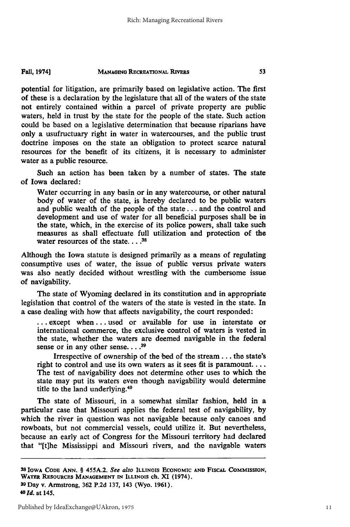potential for litigation, are primarily based on legislative action. The first of these is a declaration by the legislature that all of the waters of the state not entirely contained within a parcel of private property are public waters, held in trust by the state for the people of the state. Such action could be based on a legislative determination that because riparians have only a usufructuary right in water in watercourses, and the public trust doctrine imposes on the state an obligation to protect scarce natural resources for the benefit of its citizens, it is necessary to administer water as a public resource.

Such an action has been taken by a number of states. The state of Iowa declared:

Water occurring in any basin or in any watercourse, or other natural body of water of the state, is hereby declared to be public waters and public wealth of the people of the state. **.** and the control and development and use of water for all beneficial purposes shall be in the state, which, in the exercise of its police powers, shall take such measures as shall effectuate full utilization and protection of the water resources of the state .... **<sup>38</sup>**

Although the Iowa statute is designed primarily as a means of regulating consumptive uses of water, the issue of public versus private waters was also neatly decided without wrestling with the cumbersome issue of navigability.

The state of Wyoming declared in its constitution and in appropriate legislation that control of the waters of the state is vested in the state. In a case dealing with how that affects navigability, the court responded:

... except when.., used or available for use in interstate or international commerce, the exclusive control of waters is vested in the state, whether the waters are deemed navigable in the federal sense or in any other sense. . . .<sup>39</sup>

Irrespective of ownership of the bed of the stream... the state's right to control and use its own waters as it sees fit is paramount.... The test of navigability does not determine other uses to which the state may put its waters even though navigability would determine title to the land underlying. <sup>40</sup>

The state of Missouri, in a somewhat similar fashion, held in a particular case that Missouri applies the federal test of navigability, by which the river in question was not navigable because only canoes and rowboats, but not commercial vessels, could utilize it. But nevertheless, because an early act of Congress for the Missouri territory had declared that "ft]he Mississippi and Missouri rivers, and the navigable waters

**<sup>38</sup> IOWA CODE ANN. § 455A.2.** *See also* **ILLINOIS ECONOMIC AND FISCAL COMMISSION, WATER RESOURCES MANAGEMENT IN ILLINOIS ch. XI** (1974). **39 Day v. Armstrong, 362 P.2d 137, 143 (Wyo. 1961).**

*<sup>40</sup>* **Id. at 145.**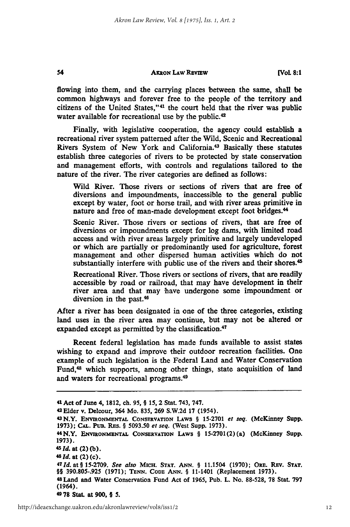flowing into them, and the carrying places between the same, shall be common highways and forever free to the people of the territory and citizens of the United States,"<sup>41</sup> the court held that the river was public water available for recreational use by the public.<sup>42</sup>

Finally, with legislative cooperation, the agency could establish a recreational river system patterned after the Wild, Scenic and Recreational Rivers System of New York and California.<sup>43</sup> Basically these statutes establish three categories of rivers to be protected **by** state conservation and management efforts, with controls and regulations tailored to the nature of the river. The river categories are defined as follows:

Wild River. Those rivers or sections of rivers that are free of diversions and impoundments, inaccessible to the general public except **by** water, foot or horse trail, and with river areas primitive in nature and free of man-made development except foot bridges.<sup>44</sup>

Scenic River. Those rivers or sections of rivers, that are free **of** diversions or impoundments except for log dams, with limited road access and with river areas largely primitive and largely undeveloped or which are partially or predominantly used for agriculture, forest management and other dispersed human activities which do not substantially interfere with public use of the rivers and their shores.<sup>45</sup>

Recreational River. Those rivers or sections of rivers, that are readily accessible by road or railroad, that may have development in their river area and that may have undergone some impoundment or diversion in the past.<sup>46</sup>

After a river has been designated in one of the three categories, existing land uses in the river area may continue, but may not be altered or expanded except as permitted **by** the classification. <sup>47</sup>

Recent federal legislation has made funds available to assist states wishing to expand and improve their outdoor recreation facilities. One example of such legislation is the Federal Land and Water Conservation Fund,<sup>48</sup> which supports, among other things, state acquisition of land and waters for recreational programs.<sup>49</sup>

54

**49 78** Stat. at **900, § 5.**

**<sup>41</sup>**Act of June 4, **1812,** ch. **95,** § **15,** 2 Stat. 743, **747.**

**<sup>42</sup>**Elder v. Delcour, 364 Mo. **835, 269 S.W.2d 17** (1954).

<sup>43</sup>N.Y. **ENVIRONMENTAL CONSERVATION LAWS** § **15-2701** *et seq.* (McKinney Supp. **1973); CAL.** PuB. **RES.** § **5093.50** et seq. (West Supp. **1973).**

<sup>&</sup>quot;N.Y. **ENvmoN mNTAL CONSERVATION LAWS** § **15-2701(2)** (a) (McKinney Supp. **1973).**

*<sup>5</sup>id.* at (2) **(b).**

**<sup>46</sup>***Id.* at (2) (c).

*<sup>47</sup>Id. at §* **15-2709.** *See also* **MIcH. STAT. ANN.** § **11.1504 (1970);** ORE. **REV. STAT.** §§ **390.805-.925 (1971); TENN. CODE ANN.** § 11-1401 (Replacement **1973).**

<sup>48</sup>Land and Water Conservation Fund Act of **1965,** Pub. L. No. **88-528, 78** Stat. **797** (1964).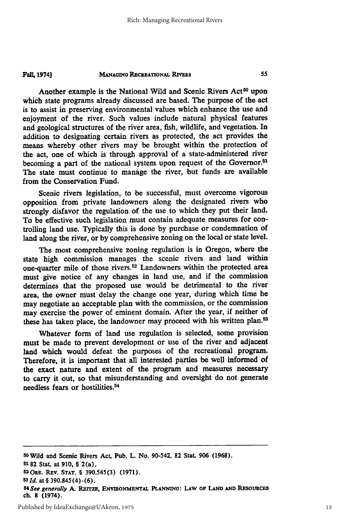**MANAGING RECREATIONAL RIVERS FAIL 19741**

Another example is the National Wild and Scenic Rivers Act<sup>50</sup> upon which state programs already discussed are based. The purpose of the act is to assist in preserving environmental values which enhance the use and enjoyment of the river. Such values include natural physical features and geological structures of the river area, fish, wildlife, and vegetation. In addition to designating certain rivers as protected, the act provides the means whereby other rivers may be brought within the protection of the act, one of which is through approval of a state-administered river becoming a part of the national system upon request of the Governor.<sup>51</sup> The state must continue to manage the river, but funds are available from the Conservation Fund.

Scenic rivers legislation, to be successful, must overcome vigorous opposition from private landowners along the designated rivers who strongly disfavor the regulation of the use to which they put their land. To **be** effective such legislation must contain adequate measures for controlling land use. Typically this is done **by** purchase or condemnation of land along the river, or **by** comprehensive zoning on the local or state level.

The most comprehensive zoning regulation is in Oregon, where the state high commission manages the scenic rivers and land within one-quarter mile of those rivers.52 Landowners within the protected area must give notice of any changes in land use, and if the commission determines that the proposed use would be detrimental to the river area, the owner must delay the change one year, during which time he may negotiate an acceptable plan with the commission, or the commission may exercise the power of eminent domain. After the year, if neither of these has taken place, the landowner may proceed with his written plan.<sup>53</sup>

Whatever form of land use regulation is selected, some provision must be made to prevent development or use of the river and adjacent land which would defeat the purposes of the recreational program. Therefore, it is important that all interested parties be well informed of the exact nature and extent of the program and measures necessary to carry it out, so that misunderstanding and oversight do not generate needless fears or hostilities. <sup>54</sup>

**<sup>50</sup>**Wild and Scenic Rivers Act, Pub. L. No. 90-542, 82 Stat. **906 (1968).**

**<sup>5182</sup>** Stat. at **910, §** 2(a).

**<sup>52</sup>ORE.** REv. **STAT. § 390.545(3) (1971).**

**<sup>531</sup>** *d.* at **§** 390.845(4)-(6).

*<sup>54</sup>***See generally** *A.* RErrzE, **ENVmONMENTAL PLANNING: LAW Op LAND AND REsourcas ch. 8** (1974).